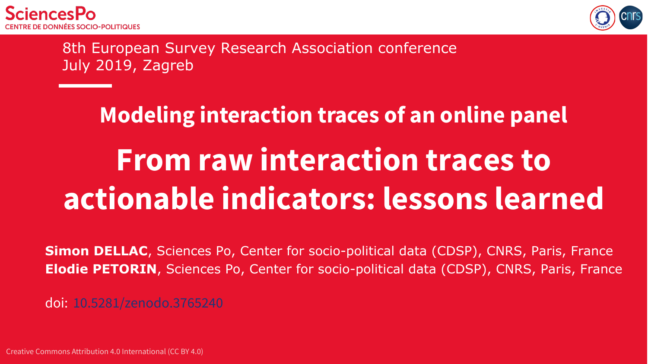



8th European Survey Research Association conference July 2019, Zagreb

# **Modeling interaction traces of an online panel From raw interaction traces to actionable indicators: lessons learned**

**Simon DELLAC**, Sciences Po, Center for socio-political data (CDSP), CNRS, Paris, France **Elodie PETORIN**, Sciences Po, Center for socio-political data (CDSP), CNRS, Paris, France

doi: [10.5281/zenodo.3765240](https://doi.org/10.5281/zenodo.3765240)

Creative Commons Attribution 4.0 International (CC BY 4.0)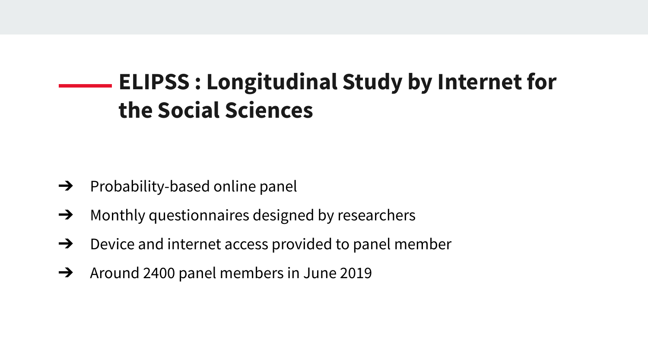## **ELIPSS : Longitudinal Study by Internet for the Social Sciences**

- $\rightarrow$  Probability-based online panel
- **→** Monthly questionnaires designed by researchers
- $\rightarrow$  Device and internet access provided to panel member
- $\rightarrow$  Around 2400 panel members in June 2019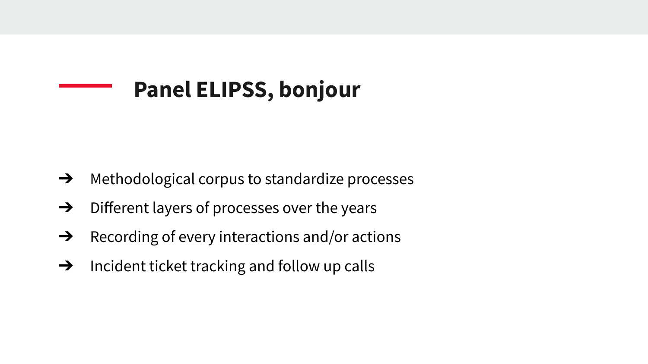## **Panel ELIPSS, bonjour**

- $\rightarrow$  Methodological corpus to standardize processes
- $\rightarrow$  Different layers of processes over the years
- $\rightarrow$  Recording of every interactions and/or actions
- $\rightarrow$  Incident ticket tracking and follow up calls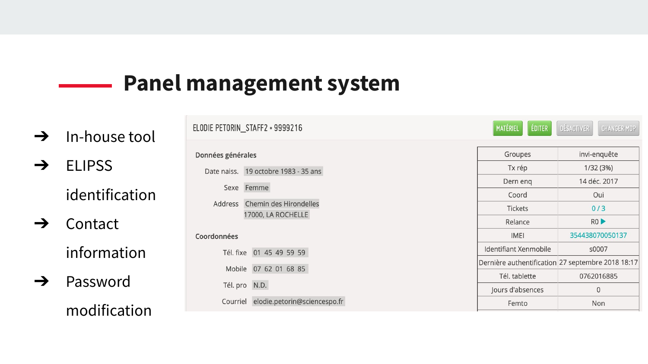### **Panel management system**

- $\rightarrow$  In-house tool
- ➔ ELIPSS

identification

- ➔ Contact information
- ➔ Password modification

|                   | :LODIE PETORIN_STAFFZ • 9999216      | <b>MATERIEL</b><br><b>EDITER</b> | CHANGER MDP<br><b>DESACTIVER</b>                  |
|-------------------|--------------------------------------|----------------------------------|---------------------------------------------------|
| Données générales |                                      | Groupes                          | invi-enquête                                      |
|                   | Date naiss. 19 octobre 1983 - 35 ans | Tx rép                           | 1/32(3%)                                          |
|                   |                                      | Dern eng                         | 14 déc. 2017                                      |
|                   | Sexe Femme                           | Coord                            | Oui                                               |
|                   | Address Chemin des Hirondelles       | <b>Tickets</b>                   | 0/3                                               |
|                   | 17000, LA ROCHELLE                   | Relance                          | RO                                                |
| Coordonnées       |                                      | <b>IMEI</b>                      | 354438070050137                                   |
|                   | Tél. fixe 01 45 49 59 59             | Identifiant Xenmobile            | s0007                                             |
|                   | Mobile 07 62 01 68 85                |                                  | Dernière authentification 27 septembre 2018 18:17 |
|                   |                                      | Tél. tablette                    | 0762016885                                        |
|                   | Tél. pro N.D.                        | Jours d'absences                 | $\mathbf{0}$                                      |
| Courriel          | elodie.petorin@sciencespo.fr         | Femto                            | Non                                               |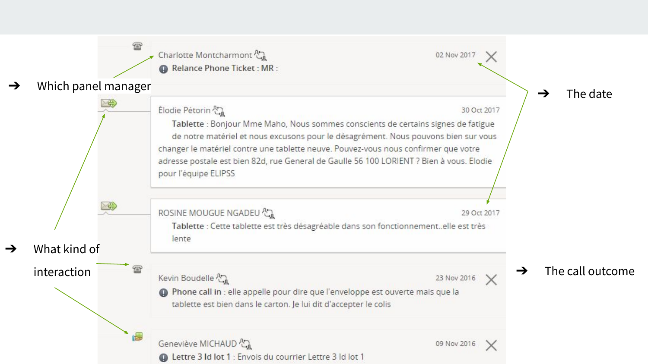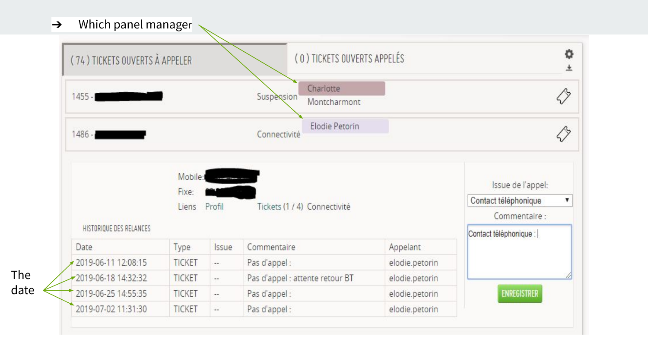#### $\rightarrow$  Which panel manager

| (74) TICKETS OUVERTS À APPELER  |                           |        | (0) TICKETS OUVERTS APPELÉS                    |                |                                                            |
|---------------------------------|---------------------------|--------|------------------------------------------------|----------------|------------------------------------------------------------|
| $1455 -$                        |                           |        | Charlotte<br><b>Suspension</b><br>Montcharmont |                |                                                            |
| $1486 -$                        |                           |        | Elodie Petorin<br>Connectivité                 |                |                                                            |
|                                 | Mobile:<br>Fixe:<br>Liens | Profil | Tickets (1 / 4) Connectivité                   |                | Issue de l'appel:<br>Contact téléphonique<br>Commentaire : |
| HISTORIQUE DES RELANCES<br>Date | Type                      | Issue  | Commentaire                                    | Appelant       | Contact téléphonique :                                     |
| 2019-06-11 12:08:15             | <b>TICKET</b>             | $\sim$ | Pas d'appel:                                   | elodie.petorin |                                                            |
| 2019-06-18 14:32:32             | <b>TICKET</b>             | ÷.     | Pas d'appel : attente retour BT                | elodie.petorin |                                                            |
| 2019-06-25 14:55:35             | <b>TICKET</b>             | $\sim$ | Pas d'appel :                                  | elodie.petorin | <b>ENREGISTRER</b>                                         |
|                                 |                           |        |                                                |                |                                                            |

The date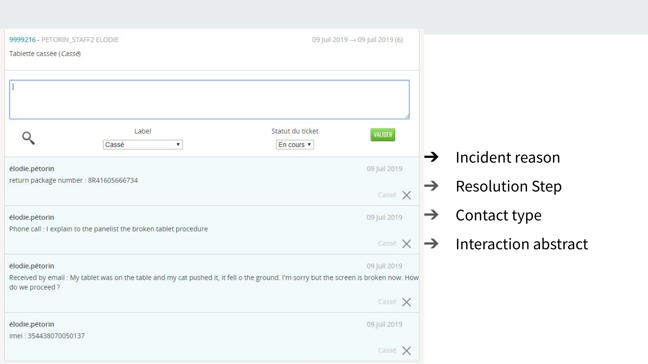| 9999216 - PETORIN_STAFF2 ELODIE                         |                                                                                                                                        | 09 Juil 2019 → 09 Juil 2019 (6) |                   |               |                        |
|---------------------------------------------------------|----------------------------------------------------------------------------------------------------------------------------------------|---------------------------------|-------------------|---------------|------------------------|
| Tablette cassée (Cassé)                                 |                                                                                                                                        |                                 |                   |               |                        |
|                                                         |                                                                                                                                        |                                 |                   |               |                        |
|                                                         |                                                                                                                                        |                                 |                   |               |                        |
|                                                         | Label                                                                                                                                  | Statut du ticket                | VALIDER           |               |                        |
|                                                         | Cassé<br>۷.                                                                                                                            | En cours v                      |                   | $\rightarrow$ | Incident reason        |
| élodie.pétorin<br>return package number : 8R41605666734 |                                                                                                                                        |                                 | 09 Juil 2019      |               |                        |
|                                                         |                                                                                                                                        |                                 | Cassé X           | $\rightarrow$ | <b>Resolution Step</b> |
| élodie.pétorin                                          |                                                                                                                                        |                                 | 09 Juil 2019      | $\rightarrow$ | Contact type           |
|                                                         | Phone call : I explain to the panelist the broken tablet procedure                                                                     |                                 | Casse $\times$    | $\rightarrow$ | Interaction abstract   |
| élodie.pétorin<br>do we proceed ?                       | Received by email : My tablet was on the table and my cat pushed it, it fell o the ground. I'm sorry but the screen is broken now. How |                                 | 09 Juil 2019      |               |                        |
|                                                         |                                                                                                                                        |                                 | $\cos$ e $\times$ |               |                        |
| élodie.pétorin<br>imei: 354438070050137                 |                                                                                                                                        |                                 | 09 Juil 2019      |               |                        |
|                                                         |                                                                                                                                        |                                 | Cassé $\times$    |               |                        |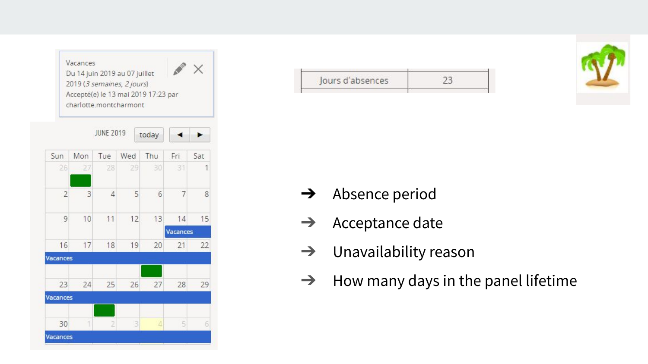

| ours d'absences |  |
|-----------------|--|



- **→** Absence period
- $\rightarrow$  Acceptance date
- $\rightarrow$  Unavailability reason
- $\rightarrow$  How many days in the panel lifetime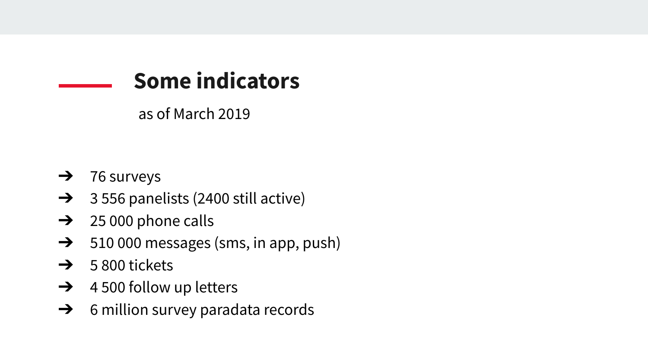

as of March 2019

- $\rightarrow$  76 surveys
- $\rightarrow$  3 556 panelists (2400 still active)
- $\rightarrow$  25 000 phone calls
- ➔ 510 000 messages (sms, in app, push)
- $\rightarrow$  5 800 tickets
- $\rightarrow$  4 500 follow up letters
- $\rightarrow$  6 million survey paradata records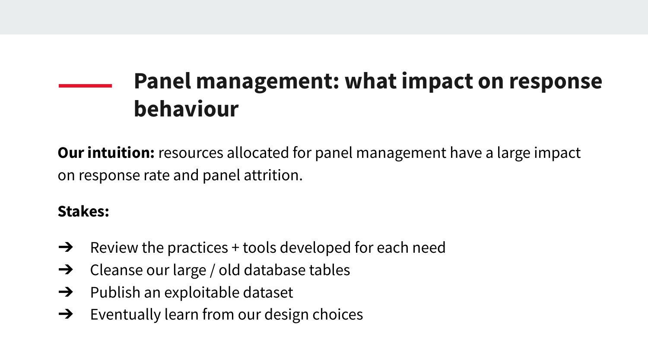## **Panel management: what impact on response behaviour**

**Our intuition:** resources allocated for panel management have a large impact on response rate and panel attrition.

#### **Stakes:**

- $\rightarrow$  Review the practices + tools developed for each need
- $\rightarrow$  Cleanse our large / old database tables
- $\rightarrow$  Publish an exploitable dataset
- $\rightarrow$  Eventually learn from our design choices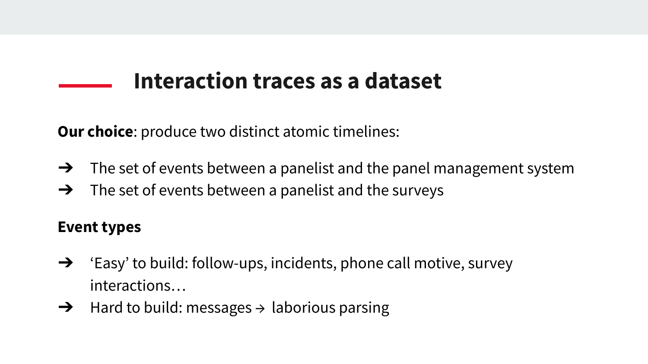## **Interaction traces as a dataset**

**Our choice:** produce two distinct atomic timelines:

- $\rightarrow$  The set of events between a panelist and the panel management system
- $\rightarrow$  The set of events between a panelist and the surveys

#### **Event types**

- $\rightarrow$  'Easy' to build: follow-ups, incidents, phone call motive, survey interactions…
- $\rightarrow$  Hard to build: messages  $\rightarrow$  laborious parsing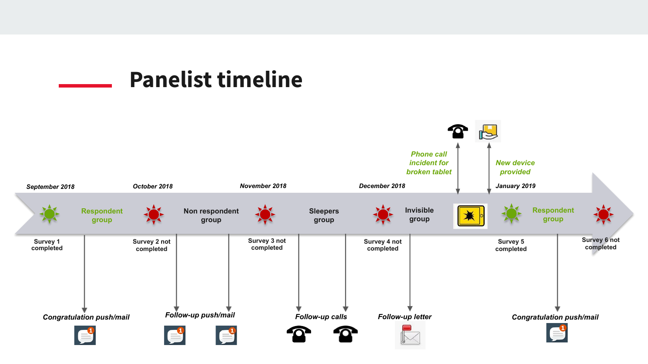### **Panelist timeline**

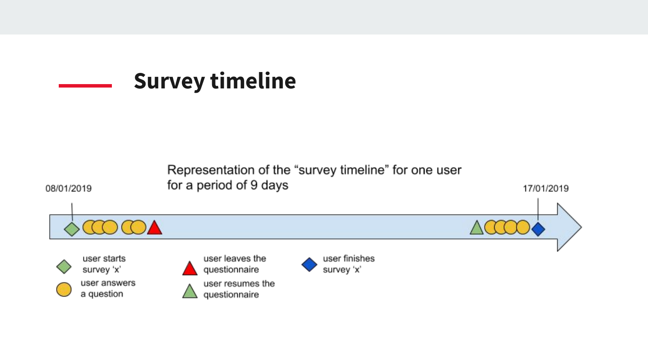

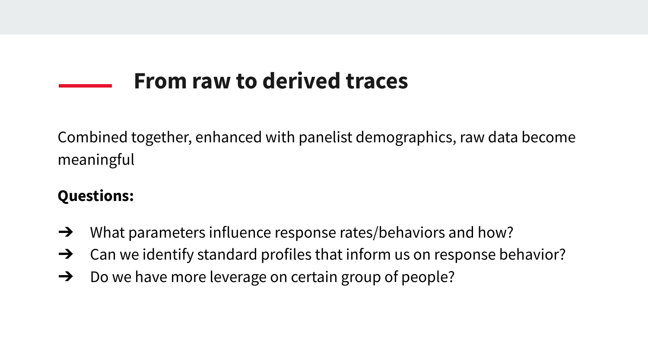## **From raw to derived traces**

Combined together, enhanced with panelist demographics, raw data become meaningful

#### **Questions:**

- $\rightarrow$  What parameters influence response rates/behaviors and how?
- $\rightarrow$  Can we identify standard profiles that inform us on response behavior?
- $\rightarrow$  Do we have more leverage on certain group of people?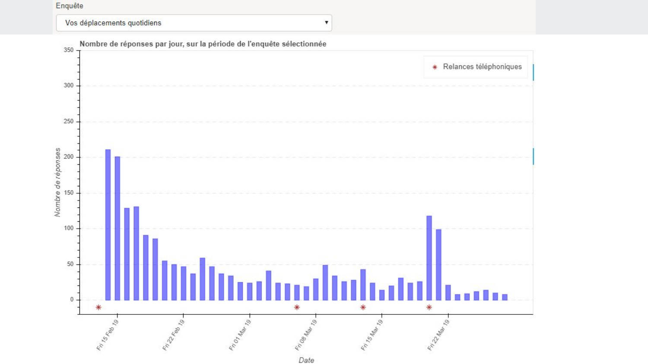#### Enquête





 $\boldsymbol{\mathrm{v}}$ 

Date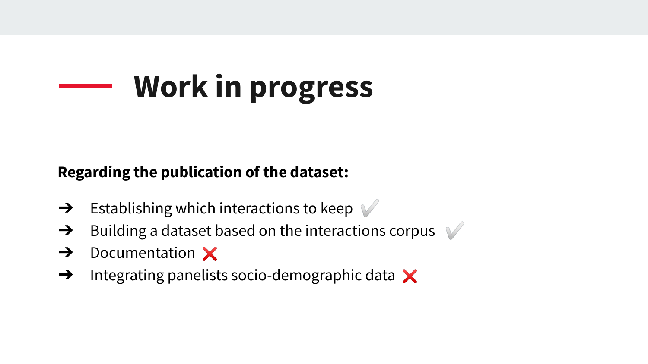# **Work in progress**

#### **Regarding the publication of the dataset:**

- $\rightarrow$  Establishing which interactions to keep
- $\rightarrow$  Building a dataset based on the interactions corpus  $\sqrt{ }$
- $\rightarrow$  Documentation  $\times$
- $\rightarrow$  Integrating panelists socio-demographic data  $\times$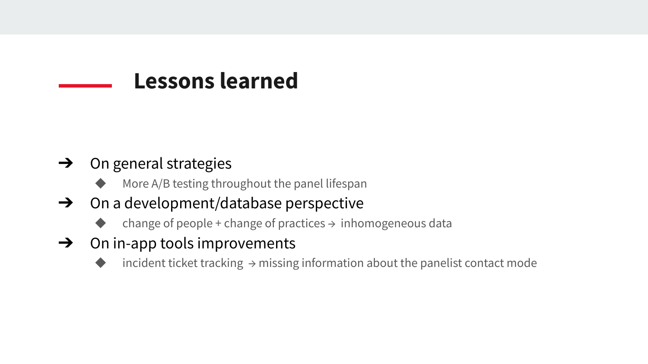### **Lessons learned**

#### $\rightarrow$  On general strategies

- More  $A/B$  testing throughout the panel lifespan
- $\rightarrow$  On a development/database perspective
	- change of people + change of practices  $\rightarrow$  inhomogeneous data
- $\rightarrow$  On in-app tools improvements
	- incident ticket tracking  $\rightarrow$  missing information about the panelist contact mode